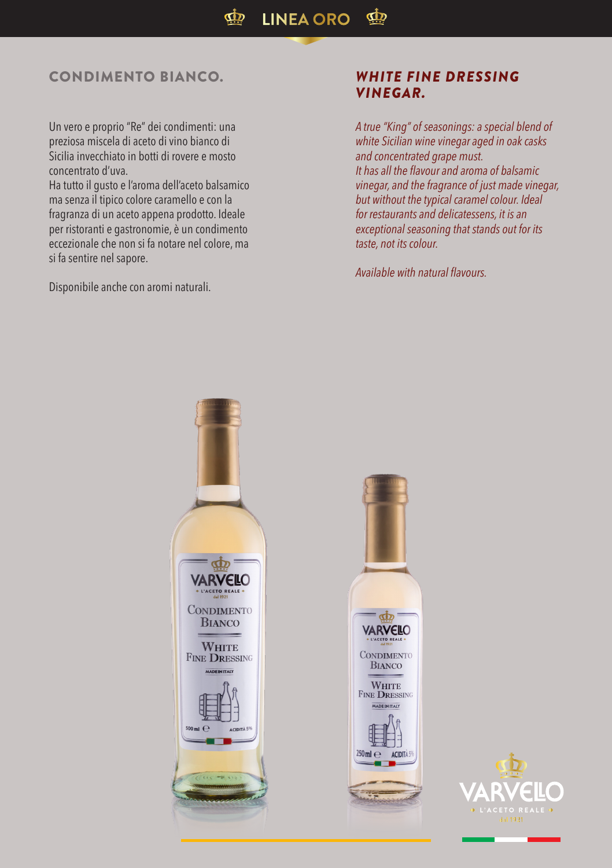## CONDIMENTO BIANCO. *WHITE FINE DRESSING*

Un vero e proprio "Re" dei condimenti: una preziosa miscela di aceto di vino bianco di Sicilia invecchiato in botti di rovere e mosto concentrato d'uva.

Ha tutto il gusto e l'aroma dell'aceto balsamico ma senza il tipico colore caramello e con la fragranza di un aceto appena prodotto. Ideale per ristoranti e gastronomie, è un condimento eccezionale che non si fa notare nel colore, ma si fa sentire nel sapore.

Disponibile anche con aromi naturali.

## *VINEGAR.*

*A true "King" of seasonings: a special blend of white Sicilian wine vinegar aged in oak casks and concentrated grape must. It has all the flavour and aroma of balsamic vinegar, and the fragrance of just made vinegar, but without the typical caramel colour. Ideal for restaurants and delicatessens, it is an exceptional seasoning that stands out for its taste, not its colour.*

*Available with natural flavours.*